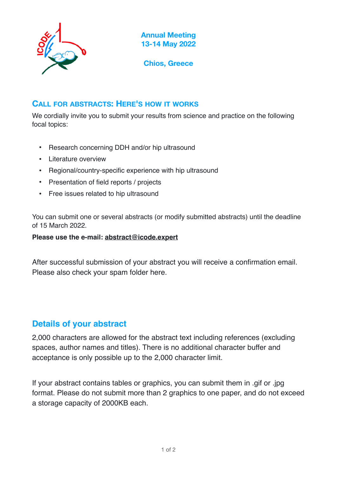

**Annual Meeting 13-14 May 2022**

**Chios, Greece**

### **CALL FOR ABSTRACTS: HERE'S HOW IT WORKS**

We cordially invite you to submit your results from science and practice on the following focal topics:

- Research concerning DDH and/or hip ultrasound
- Literature overview
- Regional/country-specific experience with hip ultrasound
- Presentation of field reports / projects
- Free issues related to hip ultrasound

You can submit one or several abstracts (or modify submitted abstracts) until the deadline of 15 March 2022.

#### **Please use the e-mail: [abstract@icode.expert](mailto:abstract@icode.expert)**

After successful submission of your abstract you will receive a confirmation email. Please also check your spam folder here.

# **Details of your abstract**

2,000 characters are allowed for the abstract text including references (excluding spaces, author names and titles). There is no additional character buffer and acceptance is only possible up to the 2,000 character limit.

If your abstract contains tables or graphics, you can submit them in .gif or .jpg format. Please do not submit more than 2 graphics to one paper, and do not exceed a storage capacity of 2000KB each.